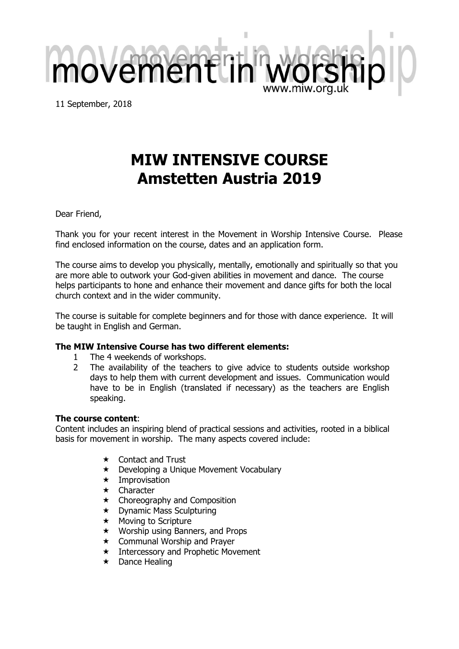11 September, 2018

movementl

# **MIW INTENSIVE COURSE Amstetten Austria 2019**

Dear Friend,

Thank you for your recent interest in the Movement in Worship Intensive Course. Please find enclosed information on the course, dates and an application form.

The course aims to develop you physically, mentally, emotionally and spiritually so that you are more able to outwork your God-given abilities in movement and dance. The course helps participants to hone and enhance their movement and dance gifts for both the local church context and in the wider community.

The course is suitable for complete beginners and for those with dance experience. It will be taught in English and German.

# **The MIW Intensive Course has two different elements:**

- 1 The 4 weekends of workshops.
- 2 The availability of the teachers to give advice to students outside workshop days to help them with current development and issues. Communication would have to be in English (translated if necessary) as the teachers are English speaking.

## **The course content**:

Content includes an inspiring blend of practical sessions and activities, rooted in a biblical basis for movement in worship. The many aspects covered include:

- $\star$  Contact and Trust
- ★ Developing a Unique Movement Vocabulary
- $\star$  Improvisation
- $\star$  Character
- $\star$  Choreography and Composition
- $\star$  Dynamic Mass Sculpturing
- $\star$  Moving to Scripture
- $\star$  Worship using Banners, and Props
- $\star$  Communal Worship and Prayer
- $\star$  Intercessory and Prophetic Movement
- $\star$  Dance Healing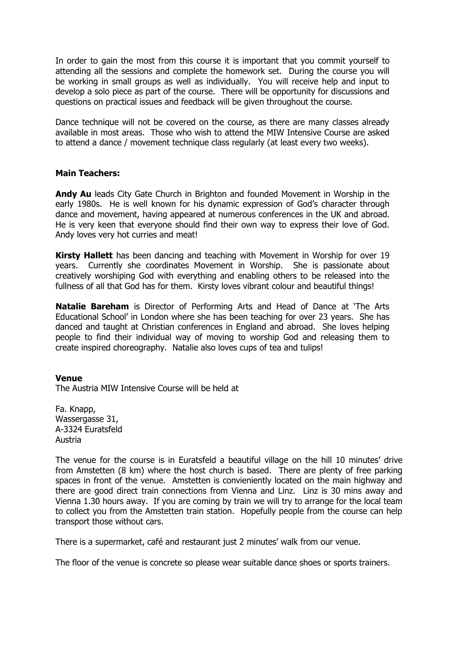In order to gain the most from this course it is important that you commit yourself to attending all the sessions and complete the homework set. During the course you will be working in small groups as well as individually. You will receive help and input to develop a solo piece as part of the course. There will be opportunity for discussions and questions on practical issues and feedback will be given throughout the course.

Dance technique will not be covered on the course, as there are many classes already available in most areas. Those who wish to attend the MIW Intensive Course are asked to attend a dance / movement technique class regularly (at least every two weeks).

## **Main Teachers:**

**Andy Au** leads City Gate Church in Brighton and founded Movement in Worship in the early 1980s. He is well known for his dynamic expression of God's character through dance and movement, having appeared at numerous conferences in the UK and abroad. He is very keen that everyone should find their own way to express their love of God. Andy loves very hot curries and meat!

**Kirsty Hallett** has been dancing and teaching with Movement in Worship for over 19 years. Currently she coordinates Movement in Worship. She is passionate about creatively worshiping God with everything and enabling others to be released into the fullness of all that God has for them. Kirsty loves vibrant colour and beautiful things!

**Natalie Bareham** is Director of Performing Arts and Head of Dance at 'The Arts Educational School' in London where she has been teaching for over 23 years. She has danced and taught at Christian conferences in England and abroad. She loves helping people to find their individual way of moving to worship God and releasing them to create inspired choreography. Natalie also loves cups of tea and tulips!

#### **Venue**

The Austria MIW Intensive Course will be held at

Fa. Knapp, Wassergasse 31, A-3324 Euratsfeld Austria

The venue for the course is in Euratsfeld a beautiful village on the hill 10 minutes' drive from Amstetten (8 km) where the host church is based. There are plenty of free parking spaces in front of the venue. Amstetten is convieniently located on the main highway and there are good direct train connections from Vienna and Linz. Linz is 30 mins away and Vienna 1.30 hours away. If you are coming by train we will try to arrange for the local team to collect you from the Amstetten train station. Hopefully people from the course can help transport those without cars.

There is a supermarket, café and restaurant just 2 minutes' walk from our venue.

The floor of the venue is concrete so please wear suitable dance shoes or sports trainers.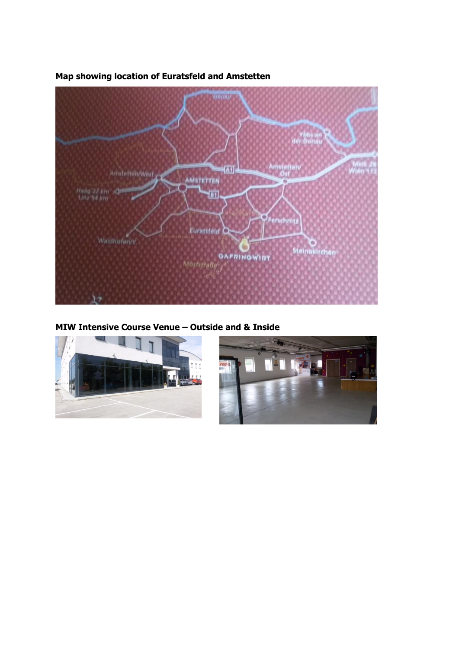

# **Map showing location of Euratsfeld and Amstetten**

**MIW Intensive Course Venue – Outside and & Inside**



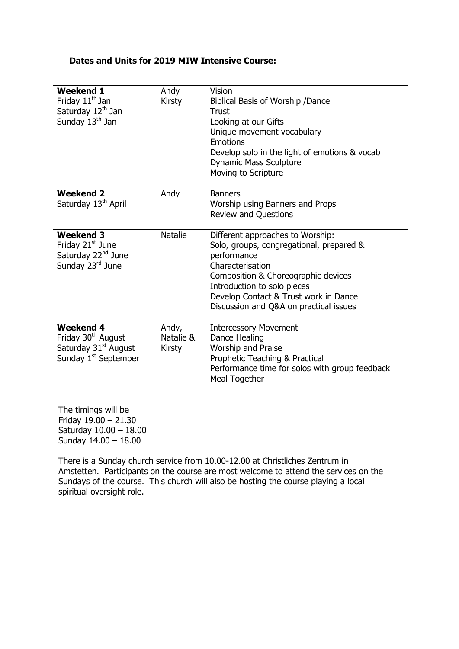## **Dates and Units for 2019 MIW Intensive Course:**

| <b>Weekend 1</b><br>Friday 11 <sup>th</sup> Jan<br>Saturday 12 <sup>th</sup> Jan<br>Sunday 13 <sup>th</sup> Jan            | Andy<br><b>Kirsty</b>               | Vision<br>Biblical Basis of Worship /Dance<br>Trust<br>Looking at our Gifts<br>Unique movement vocabulary<br>Emotions<br>Develop solo in the light of emotions & vocab<br><b>Dynamic Mass Sculpture</b><br>Moving to Scripture                                           |
|----------------------------------------------------------------------------------------------------------------------------|-------------------------------------|--------------------------------------------------------------------------------------------------------------------------------------------------------------------------------------------------------------------------------------------------------------------------|
| <b>Weekend 2</b><br>Saturday 13 <sup>th</sup> April                                                                        | Andy                                | <b>Banners</b><br>Worship using Banners and Props<br><b>Review and Questions</b>                                                                                                                                                                                         |
| <b>Weekend 3</b><br>Friday 21 <sup>st</sup> June<br>Saturday 22 <sup>nd</sup> June<br>Sunday 23rd June                     | <b>Natalie</b>                      | Different approaches to Worship:<br>Solo, groups, congregational, prepared &<br>performance<br>Characterisation<br>Composition & Choreographic devices<br>Introduction to solo pieces<br>Develop Contact & Trust work in Dance<br>Discussion and Q&A on practical issues |
| <b>Weekend 4</b><br>Friday 30 <sup>th</sup> August<br>Saturday 31 <sup>st</sup> August<br>Sunday 1 <sup>st</sup> September | Andy,<br>Natalie &<br><b>Kirsty</b> | <b>Intercessory Movement</b><br>Dance Healing<br>Worship and Praise<br>Prophetic Teaching & Practical<br>Performance time for solos with group feedback<br>Meal Together                                                                                                 |

The timings will be Friday 19.00 – 21.30 Saturday 10.00 – 18.00 Sunday 14.00 – 18.00

There is a Sunday church service from 10.00-12.00 at Christliches Zentrum in Amstetten. Participants on the course are most welcome to attend the services on the Sundays of the course. This church will also be hosting the course playing a local spiritual oversight role.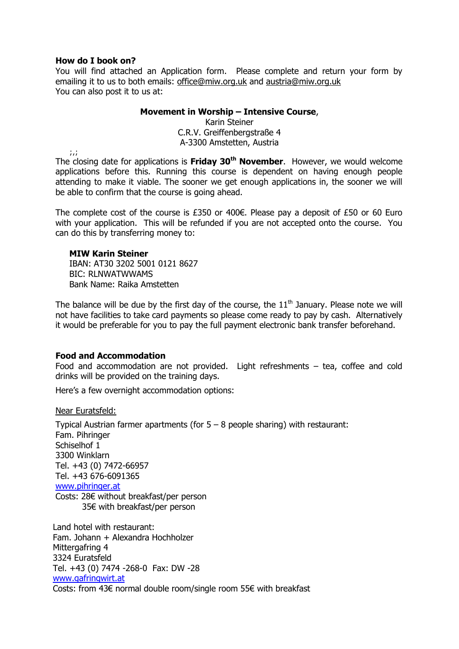## **How do I book on?**

You will find attached an Application form. Please complete and return your form by emailing it to us to both emails: [office@miw.org.uk](mailto:office@miw.org.uk) and [austria@miw.org.uk](mailto:austria@miw.org.uk) You can also post it to us at:

## **Movement in Worship – Intensive Course**,

Karin Steiner C.R.V. Greiffenbergstraße 4 A-3300 Amstetten, Austria

 $\ddot{\phantom{a}}$ 

The closing date for applications is **Friday 30th November**. However, we would welcome applications before this. Running this course is dependent on having enough people attending to make it viable. The sooner we get enough applications in, the sooner we will be able to confirm that the course is going ahead.

The complete cost of the course is £350 or 400€. Please pay a deposit of £50 or 60 Euro with your application. This will be refunded if you are not accepted onto the course. You can do this by transferring money to:

#### **MIW Karin Steiner**

IBAN: AT30 3202 5001 0121 8627 BIC: RLNWATWWAMS Bank Name: Raika Amstetten

The balance will be due by the first day of the course, the  $11<sup>th</sup>$  January. Please note we will not have facilities to take card payments so please come ready to pay by cash. Alternatively it would be preferable for you to pay the full payment electronic bank transfer beforehand.

#### **Food and Accommodation**

Food and accommodation are not provided. Light refreshments – tea, coffee and cold drinks will be provided on the training days.

Here's a few overnight accommodation options:

Near Euratsfeld:

Typical Austrian farmer apartments (for  $5 - 8$  people sharing) with restaurant: Fam. Pihringer Schiselhof 1 3300 Winklarn Tel. +43 (0) 7472-66957 Tel. +43 676-6091365 [www.pihringer.at](http://www.pihringer.at/) Costs: 28€ without breakfast/per person 35€ with breakfast/per person

Land hotel with restaurant: Fam. Johann + Alexandra Hochholzer Mittergafring 4 3324 Euratsfeld Tel. +43 (0) 7474 -268-0 Fax: DW -28 [www.gafringwirt.at](http://www.gafringwirt.at/) Costs: from 43€ normal double room/single room 55€ with breakfast